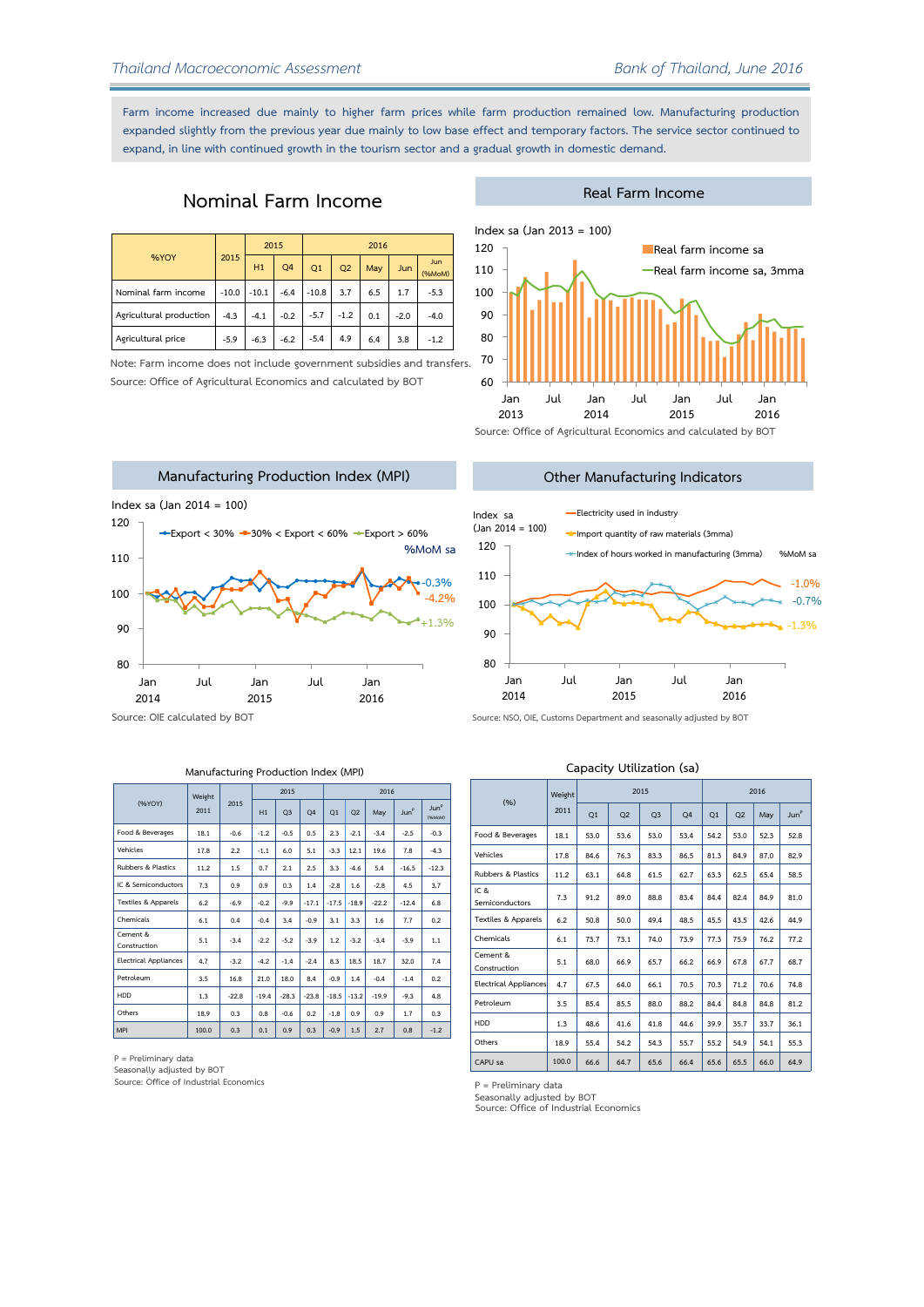Farm income increased due mainly to higher farm prices while farm production remained low. Manufacturing production **expanded slightly from the previous year due mainly to low base effect and temporary factors. The service sector continued to expand, in line with continued growth in the tourism sector and a gradual growth in domestic demand.**

## **Nominal Farm Income**

| %YOY                    | 2015    | 2015    |        | 2016    |        |     |            |                      |  |
|-------------------------|---------|---------|--------|---------|--------|-----|------------|----------------------|--|
|                         |         | H1      | Q4     | Q1      | Q2     | May | <b>Jun</b> | <b>Jun</b><br>(%MoM) |  |
| Nominal farm income     | $-10.0$ | $-10.1$ | $-6.4$ | $-10.8$ | 3.7    | 6.5 | 1.7        | $-5.3$               |  |
| Agricultural production | $-4.3$  | $-4.1$  | $-0.2$ | $-5.7$  | $-1.2$ | 0.1 | $-2.0$     | $-4.0$               |  |
| Agricultural price      | $-5.9$  | $-6.3$  | $-6.2$ | $-5.4$  | 4.9    | 6.4 | 3.8        | $-1.2$               |  |

**Note: Farm income does not include government subsidies and transfers. Source: Office of Agricultural Economics and calculated by BOT**



**Other Manufacturing Indicators**

**Real Farm Income**



**Source: OIE calculated by BOT**



**Source: NSO, OIE, Customs Department and seasonally adjusted by BOT**

#### **Manufacturing Production Index (MPI)**

**2015 2016 Weight (%YOY) H1 Q3 Q4 Q1 Q2 May Jun<sup>P</sup> Jun<sup>P</sup> 011 (%MoM) Food & Beverages**   $-0.6$  $-1.2$  $-0.5$  $0.5$  $2.3$  $-2.1$  $-3.4$  $-2.5$  $-0.3$  $-4.3$ 17.8  $2.2$  $-1.1$  $6.0$  $5.1$  $-3.3$  12.1 19.6  $7.8$ **Vehicles**   $3.3$  -4.6 **Rubbers & Plastics**   $1.5$  $0.7$  $2.1$  $2.5$  $5.4$  $-16.5$  $-12.3$ **IC & Semiconductors**   $0.9$  $0.9$  $0.3$  $1.4$  $-2.8$  1.6  $-2.8$  $4.5$  $3.7$ **Textiles & Apparels**   $-6.9$  $-0.2$  $-9.9$  $-17.1$  $-17.5$   $-18.9$  $-22.2$  $-12.4$  $6.8$ **Chemicals**   $0.4$  $-0.4$  $3.4$  $-0.9$  $3.1$  $3.3$  $1.6$  $7.7$  $0.2$ **Cement &**   $1.2$  $5.1$  $-3.4$  $-2.2$  $-5.2$  $-3.9$  $-3.2$  $-3.4$  $-3.9$  $\overline{1.1}$ **Construction Electrical Appliances**   $-3.2$  $-4.2$  $-1.4$  $-2.4$  $8.3$ 18.5 18.7  $32.0$  $7.4$ Petroleum<sub>3.5</sub> 16.8  $21.0$ 18.0 8.4  $-0.9$  $1.4$  $-0.4$  $-1.4$  $0.2$ **HDD**   $-22.8$  $-19.4$  $-28.3$  $-23.8$  $-18.5$  $-13.2$  $-19.9$  $-9.3$  $4.8$ **Others**   $0.3$  $0.8$  $-0.6$  $0.2$  $-1.8$  $0.9$  $0.9$  $1.7$  $0.3<sup>1</sup>$ **MPI 100.0**  $0.3$  $0.1$  $0.9$  $0.3$  $-0.9$ 1.5  $2.7$  $0.8$  $-1.2$ 

**Q1 Q2 Q3 Q4 Q1 Q2 May Jun<sup>P</sup> Food & Beverages**  53.0  $53.4$  $54.2$  $52.3$ 53.0 53.6 53.0 **Vehicles**  17.8 84.6 76.3 83.3 86.5  $81.3$ 84.9 87.0 **Rubbers & Plastics**   $63.1$ 64.8  $61.5$  $62.7$  $63.3$  $62.5$ 65.4 **IC &**   $7.3$  $91.2$ 89.0 88.8 83.4  $84.4$ 82.4 84.9 **Semiconductors Textiles & Apparels**  49.4  $45.5$  $43.5$ 42.6 50.8 50.0 48.5 **Chemicals**   $73.7$  $73.1$  $74.0$ 73.9  $77.3$ 75.9 76.2 **Cement &**  68.0 66.9 65.7 66.2  $66.9$ 67.8  $67.7$ **Construction Electrical Appliances**  67.5 64.0 66.1  $70.5$  $70.3$  $71.2$ 70.6

855

88.0 882 84 84 R 84.8 812

 $41.8$ 

54.3

65.6  $66.4$  $65.6$  $65.5$ 66.0 64.9

39.9

35.7 33.7  $36.1$ 

> $54.1$ 55.3

44.6

55.7 55.2 54.9

**Capacity Utilization (sa)**

**2015 2016**

 $52.8$ 

82.9

58.5

81.0

44.9

 $77.2$ 

68.7

 $74.8$ 

**Source: Office of Industrial Economics P = Preliminary data Seasonally adjusted by BOT** 

**P = Preliminary data**

Petroleum<sub>35</sub> **HDD**  Others 18.9 **CAPU sa** 

**(%)**

**Weight 2011**

Seasonally adjusted by BOT<br>Source: Office of Industrial Economics

854

48.6 41.6

55.4 54.2

66.6  $64.7$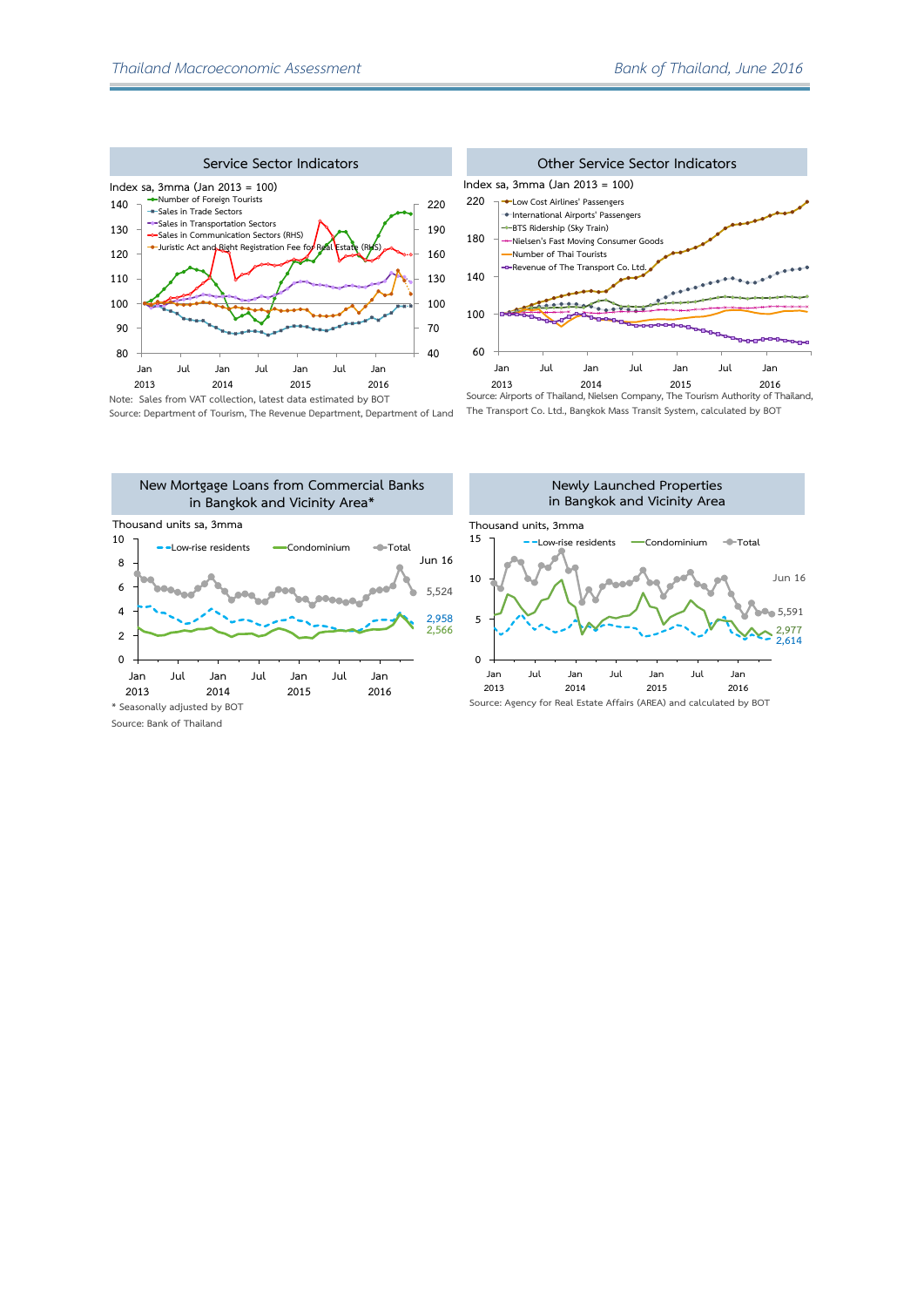



**Source: Department of Tourism, The Revenue Department Department of Land**

**The Transport Co. Ltd., Bangkok Mass Transit System, calculated by BOT**



**Source: Bank of Thailand**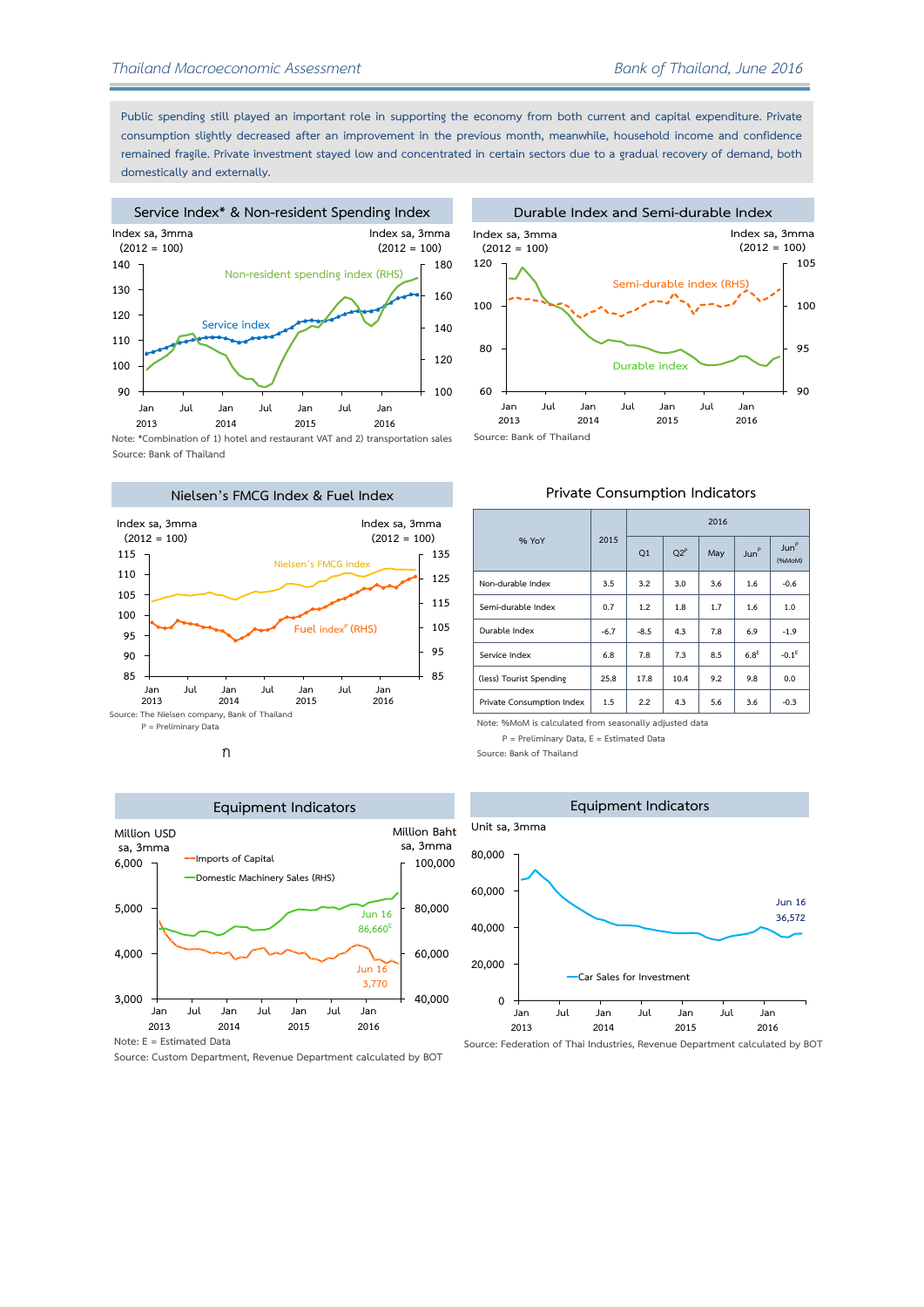**Public spending still played an important role in supporting the economy from both current and capital expenditure. Private consumption slightly decreased after an improvement in the previous month, meanwhile, household income and confidence remained fragile. Private investment stayed low and concentrated in certain sectors due to a gradual recovery of demand, both domestically and externally.**

# **Service Index\* & Non-resident Spending Index**





**Note: \*Combination of 1) hotel and restaurant VAT and 2) transportation sales Source: Bank of Thailand**









**Source: Custom Department, Revenue Department calculated by BOT**

## **Private Consumption Indicators**

|                           |        | 2016   |        |     |                  |                                       |  |  |  |  |
|---------------------------|--------|--------|--------|-----|------------------|---------------------------------------|--|--|--|--|
| % YoY                     | 2015   | Q1     | $O2^P$ | May | Jun <sup>P</sup> | $\mathsf{Iun}^{\mathsf{P}}$<br>(%MoM) |  |  |  |  |
| Non-durable Index         | 3.5    | 3.2    | 3.0    | 3.6 | 1.6              | $-0.6$                                |  |  |  |  |
| Semi-durable Index        | 0.7    | 1.2    | 1.8    | 1.7 | 1.6              | 1.0                                   |  |  |  |  |
| Durable Index             | $-6.7$ | $-8.5$ | 4.3    | 7.8 | 6.9              | $-1.9$                                |  |  |  |  |
| Service Index             | 6.8    | 7.8    | 7.3    | 8.5 | 6.8 <sup>E</sup> | $-0.1E$                               |  |  |  |  |
| (less) Tourist Spending   | 25.8   | 17.8   | 10.4   | 9.2 | 9.8              | 0.0                                   |  |  |  |  |
| Private Consumption Index | 1.5    | 2.2    | 4.3    | 5.6 | 3.6              | $-0.3$                                |  |  |  |  |

**Note: %MoM is calculated from seasonally adjusted data** 

**P = Preliminary Data, E = Estimated Data**

**Source: Bank of Thailand**



**Source: Federation of Thai Industries, Revenue Department calculated by BOT**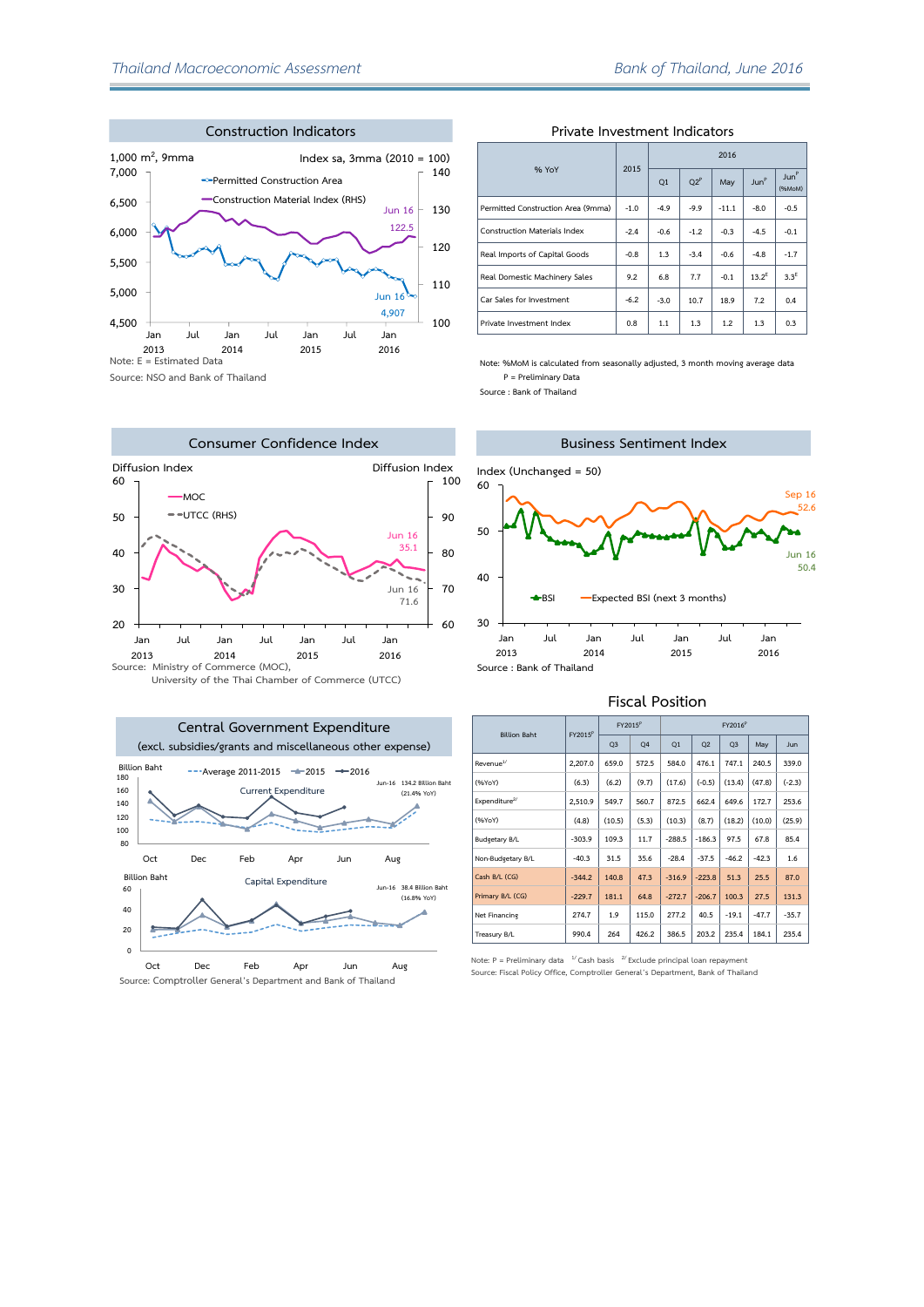

**Source: NSO and Bank of Thailand**





## **Private Investment Indicators**

|                                     | 2015   | 2016   |        |         |                  |                            |  |  |  |
|-------------------------------------|--------|--------|--------|---------|------------------|----------------------------|--|--|--|
| % YoY                               |        | Q1     | $O2^P$ | May     | Jun <sup>P</sup> | Jun <sup>P</sup><br>(%MoM) |  |  |  |
| Permitted Construction Area (9mma)  | $-1.0$ | $-4.9$ | $-9.9$ | $-11.1$ | $-8.0$           | $-0.5$                     |  |  |  |
| <b>Construction Materials Index</b> | $-2.4$ | $-0.6$ | $-1.2$ | $-0.3$  | $-4.5$           | $-0.1$                     |  |  |  |
| Real Imports of Capital Goods       | $-0.8$ | 1.3    | $-3.4$ | $-0.6$  | $-4.8$           | $-1.7$                     |  |  |  |
| Real Domestic Machinery Sales       | 9.2    | 6.8    | 7.7    | $-0.1$  | $13.2^{E}$       | $3.3^E$                    |  |  |  |
| Car Sales for Investment            | $-6.2$ | $-3.0$ | 10.7   | 18.9    | 7.2              | 0.4                        |  |  |  |
| Private Investment Index            | 0.8    | 1.1    | 1.3    | 1.2     | 1.3              | 0.3                        |  |  |  |

**Note: %MoM is calculated from seasonally adjusted, 3 month moving average data P = Preliminary Data**

**Source : Bank of Thailand**



#### **Fiscal Position**

|                           |                     | $FY2015^P$     |                | FY2016 <sup>P</sup> |                |                |         |            |  |
|---------------------------|---------------------|----------------|----------------|---------------------|----------------|----------------|---------|------------|--|
| <b>Billion Baht</b>       | FY2015 <sup>P</sup> | Q <sub>3</sub> | O <sub>4</sub> | Q1                  | O <sub>2</sub> | Q <sub>3</sub> | May     | <b>Jun</b> |  |
| Revenue <sup>1/</sup>     | 2.207.0             | 659.0          | 572.5          | 584.0               | 476.1          | 747.1          | 240.5   | 339.0      |  |
| (%YoY)                    | (6.3)               | (6.2)          | (9.7)          | (17.6)              | $(-0.5)$       | (13.4)         | (47.8)  | $(-2.3)$   |  |
| Expenditure <sup>2/</sup> | 2,510.9             | 549.7          | 560.7          | 872.5               | 662.4          | 649.6          | 172.7   | 253.6      |  |
| (%YoY)                    | (4.8)               | (10.5)         | (5.3)          | (10.3)              | (8.7)          | (18.2)         | (10.0)  | (25.9)     |  |
| <b>Budgetary B/L</b>      | $-303.9$            | 109.3          | 11.7           | $-288.5$            | $-186.3$       | 97.5           | 67.8    | 85.4       |  |
| Non-Budgetary B/L         | $-40.3$             | 31.5           | 35.6           | $-28.4$             | $-37.5$        | $-46.2$        | $-42.3$ | 1.6        |  |
| Cash B/L (CG)             | $-344.2$            | 140.8          | 47.3           | $-316.9$            | $-223.8$       | 51.3           | 25.5    | 87.0       |  |
| Primary B/L (CG)          | $-229.7$            | 181.1          | 64.8           | $-272.7$            | $-206.7$       | 100.3          | 27.5    | 131.3      |  |
| Net Financing             | 274.7               | 1.9            | 115.0          | 277.2               | 40.5           | $-19.1$        | $-47.7$ | $-35.7$    |  |
| Treasury B/L              | 990.4               | 264            | 426.2          | 386.5               | 203.2          | 235.4          | 184.1   | 235.4      |  |

**Note: P = Preliminary data 1/ Cash basis 2/Exclude principal loan repayment** Source: Fiscal Policy Office, Comptroller General's Department, Bank of Thailand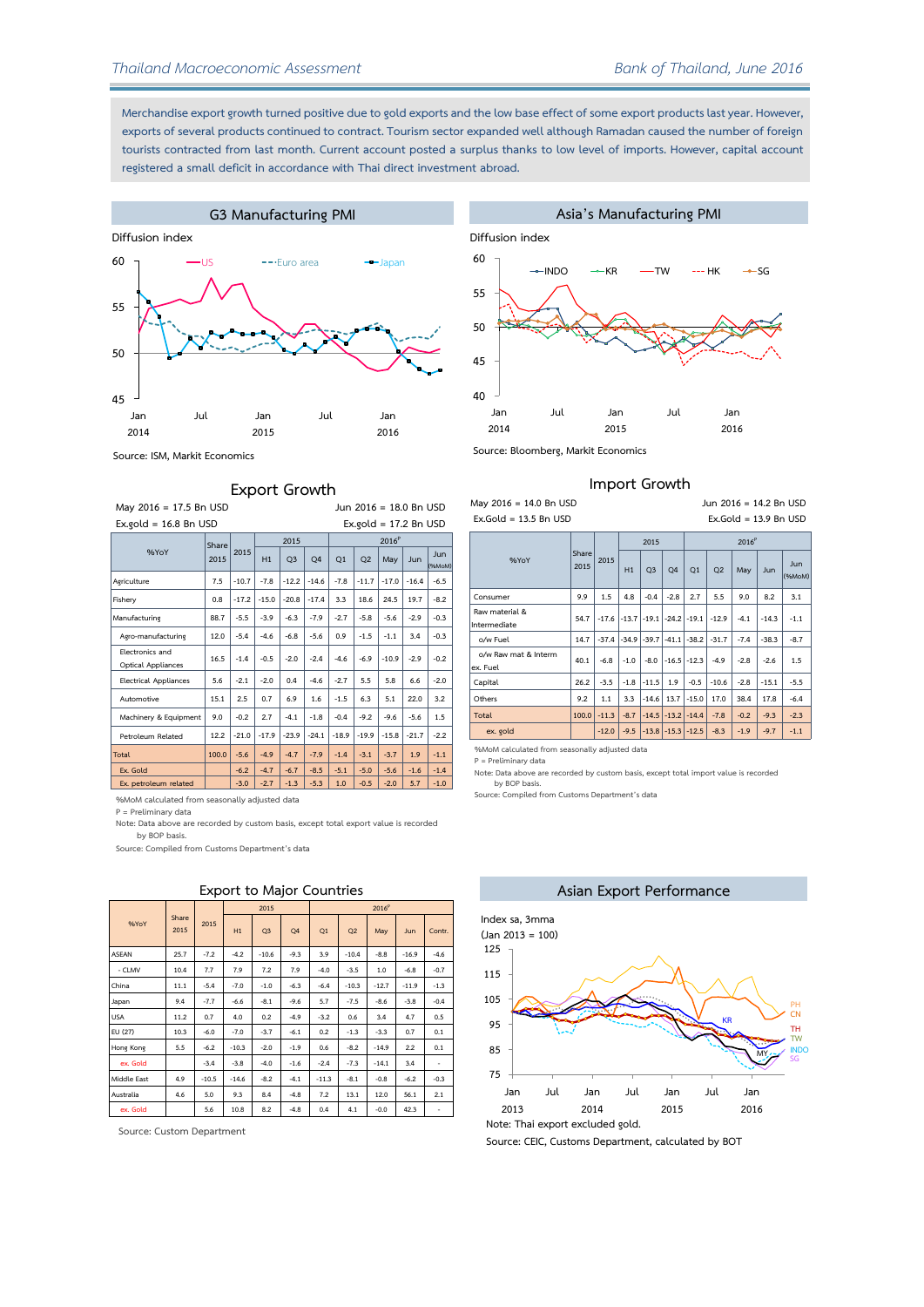**Merchandise export growth turned positive due to gold exports and the low base effect of some export products last year. However, exports of several products continued to contract. Tourism sector expanded well although Ramadan caused the number of foreign tourists contracted from last month. Current account posted a surplus thanks to low level of imports. However, capital account registered a small deficit in accordance with Thai direct investment abroad.**





## **Export Growth**

| May 2016 = 17.5 Bn USD                       | Jun 2016 = 18.0 Bn USD |         |         |                |         |                           |                |         |         |                      |  |  |
|----------------------------------------------|------------------------|---------|---------|----------------|---------|---------------------------|----------------|---------|---------|----------------------|--|--|
| $Ex$ , gold = 16.8 Bn USD                    |                        |         |         |                |         | $Ex$ , gold = 17,2 Bn USD |                |         |         |                      |  |  |
|                                              | Share                  |         | 2015    |                |         | 2016 <sup>P</sup>         |                |         |         |                      |  |  |
| %YoY                                         | 2015                   | 2015    | H1      | Q <sub>3</sub> | Q4      | Q1                        | Q <sub>2</sub> | May     | Jun     | <b>Jun</b><br>(%MoM) |  |  |
| Agriculture                                  | 7.5                    | $-10.7$ | $-7.8$  | $-12.2$        | $-14.6$ | $-7.8$                    | $-11.7$        | $-17.0$ | $-16.4$ | $-6.5$               |  |  |
| Fishery                                      | 0.8                    | $-17.2$ | $-15.0$ | $-20.8$        | $-17.4$ | 3.3                       | 18.6           | 24.5    | 19.7    | $-8.2$               |  |  |
| Manufacturing                                | 88.7                   | $-5.5$  | $-3.9$  | $-6.3$         | $-7.9$  | $-2.7$                    | $-5.8$         | $-5.6$  | $-2.9$  | $-0.3$               |  |  |
| Agro-manufacturing                           | 12.0                   | $-5.4$  | $-4.6$  | $-6.8$         | $-5.6$  | 0.9                       | $-1.5$         | $-1.1$  | 3.4     | $-0.3$               |  |  |
| Electronics and<br><b>Optical Appliances</b> | 16.5                   | $-1.4$  | $-0.5$  | $-2.0$         | $-2.4$  | $-4.6$                    | $-6.9$         | $-10.9$ | $-2.9$  | $-0.2$               |  |  |
| <b>Electrical Appliances</b>                 | 5.6                    | $-2.1$  | $-2.0$  | 0.4            | $-4.6$  | $-2.7$                    | 5.5            | 5.8     | 6.6     | $-2.0$               |  |  |
| Automotive                                   | 15.1                   | 2.5     | 0.7     | 6.9            | 1.6     | $-1.5$                    | 6.3            | 5.1     | 22.0    | 3.2                  |  |  |
| Machinery & Equipment                        | 9.0                    | $-0.2$  | 2.7     | $-4.1$         | $-1.8$  | $-0.4$                    | $-9.2$         | $-9.6$  | $-5.6$  | 1.5                  |  |  |
| Petroleum Related                            | 12.2                   | $-21.0$ | $-17.9$ | $-23.9$        | $-24.1$ | $-18.9$                   | $-19.9$        | $-15.8$ | $-21.7$ | $-2.2$               |  |  |
| Total                                        | 100.0                  | $-5.6$  | $-4.9$  | $-4.7$         | $-7.9$  | $-1.4$                    | $-3.1$         | $-3.7$  | 1.9     | $-1.1$               |  |  |
| Ex. Gold                                     |                        | $-6.2$  | $-4.7$  | $-6.7$         | $-8.5$  | $-5.1$                    | $-5.0$         | $-5.6$  | $-1.6$  | $-1.4$               |  |  |
| Ex. petroleum related                        |                        | $-3.0$  | $-2.7$  | $-1.3$         | $-5.3$  | 1.0                       | $-0.5$         | $-2.0$  | 5.7     | $-1.0$               |  |  |

**%MoM calculated from seasonally adjusted data**

**P = Preliminary data**

**Note: Data above are recorded by custom basis, except total export value is recorded by BOP basis.**

**Source: Compiled from Customs Department's data**

## **Export to Major Countries**

|              |               |         |         | 2015           |                |                |         | 2016 <sup>P</sup> |         |                          |
|--------------|---------------|---------|---------|----------------|----------------|----------------|---------|-------------------|---------|--------------------------|
| %YoY         | Share<br>2015 | 2015    | H1      | Q <sub>3</sub> | Q <sub>4</sub> | O <sub>1</sub> | Q2      | May               | Jun     | Contr.                   |
| <b>ASEAN</b> | 25.7          | $-7.2$  | $-4.2$  | $-10.6$        | $-9.3$         | 3.9            | $-10.4$ | $-8.8$            | $-16.9$ | $-4.6$                   |
| - CLMV       | 10.4          | 7.7     | 7.9     | 7.2            | 7.9            | $-4.0$         | $-3.5$  | 1.0               | $-6.8$  | $-0.7$                   |
| China        | 11.1          | $-5.4$  | $-7.0$  | $-1.0$         | $-6.3$         | $-6.4$         | $-10.3$ | $-12.7$           | $-11.9$ | $-1.3$                   |
| Japan        | 9.4           | $-7.7$  | $-6.6$  | $-8.1$         | $-9.6$         | 5.7            | $-7.5$  | $-8.6$            | $-3.8$  | $-0.4$                   |
| <b>USA</b>   | 11.2          | 0.7     | 4.0     | 0.2            | $-4.9$         | $-3.2$         | 0.6     | 3.4               | 4.7     | 0.5                      |
| EU (27)      | 10.3          | $-6.0$  | $-7.0$  | $-3.7$         | $-6.1$         | 0.2            | $-1.3$  | $-3.3$            | 0.7     | 0.1                      |
| Hone Kone    | 5.5           | $-6.2$  | $-10.3$ | $-2.0$         | $-1.9$         | 0.6            | $-8.2$  | $-14.9$           | 2.2     | 0.1                      |
| ex. Gold     |               | $-3.4$  | $-3.8$  | $-4.0$         | $-1.6$         | $-2.4$         | $-7.3$  | $-14.1$           | 3.4     | ٠                        |
| Middle East  | 4.9           | $-10.5$ | $-14.6$ | $-8.2$         | $-4.1$         | $-11.3$        | $-8.1$  | $-0.8$            | $-6.2$  | $-0.3$                   |
| Australia    | 4.6           | 5.0     | 9.3     | 8.4            | $-4.8$         | 7.2            | 13.1    | 12.0              | 56.1    | 2.1                      |
| ex. Gold     |               | 5.6     | 10.8    | 8.2            | $-4.8$         | 0.4            | 4.1     | $-0.0$            | 42.3    | $\overline{\phantom{a}}$ |

**Source: Custom Department**



### **Import Growth**

| May 2016 = 14.0 Bn USD           |               | Jun $2016 = 14.2$ Bn USD |         |                |                 |                                 |         |        |         |                         |  |  |  |  |  |
|----------------------------------|---------------|--------------------------|---------|----------------|-----------------|---------------------------------|---------|--------|---------|-------------------------|--|--|--|--|--|
| $Ex.Gold = 13.5$ Bn USD          |               |                          |         |                |                 |                                 |         |        |         | $Ex.Gold = 13.9$ Bn USD |  |  |  |  |  |
|                                  |               |                          |         | 2015           |                 | 2016 <sup>P</sup>               |         |        |         |                         |  |  |  |  |  |
| %YoY                             | Share<br>2015 | 2015                     | H1      | Q <sub>3</sub> | Q4              | Q1                              | Q2      | May    | Jun     | Jun<br>(%MoM)           |  |  |  |  |  |
| Consumer                         | 9.9           | 1.5                      | 4.8     | $-0.4$         | $-2.8$          | 2.7                             | 5.5     | 9.0    | 8.2     | 3.1                     |  |  |  |  |  |
| Raw material &<br>Intermediate   | 54.7          | $-17.6$                  |         |                |                 | $-13.7$ $-19.1$ $-24.2$ $-19.1$ | $-12.9$ | $-4.1$ | $-14.3$ | $-1.1$                  |  |  |  |  |  |
| o/w Fuel                         | 14.7          | $-37.4$                  | $-34.9$ |                |                 | $-39.7$ $-41.1$ $-38.2$         | $-31.7$ | $-7.4$ | $-38.3$ | $-8.7$                  |  |  |  |  |  |
| o/w Raw mat & Interm<br>ex. Fuel | 40.1          | $-6.8$                   | $-1.0$  | $-8.0$         |                 | $-16.5$ $-12.3$                 | $-4.9$  | $-2.8$ | $-2.6$  | 1.5                     |  |  |  |  |  |
| Capital                          | 26.2          | $-3.5$                   | $-1.8$  | $-11.5$        | 1.9             | $-0.5$                          | $-10.6$ | $-2.8$ | $-15.1$ | $-5.5$                  |  |  |  |  |  |
| Others                           | 9.2           | 1.1                      | 3.3     | $-14.6$        | 13.7            | $-15.0$                         | 17.0    | 38.4   | 17.8    | $-6.4$                  |  |  |  |  |  |
| Total                            | 100.0         | $-11.3$                  | $-8.7$  |                | $-14.5$ $-13.2$ | $-14.4$                         | $-7.8$  | $-0.2$ | $-9.3$  | $-2.3$                  |  |  |  |  |  |
| ex. gold                         |               | $-12.0$                  | $-9.5$  |                |                 | $-13.8$ $-15.3$ $-12.5$         | $-8.3$  | $-1.9$ | $-9.7$  | $-1.1$                  |  |  |  |  |  |

**%MoM calculated from seasonally adjusted data P = Preliminary data**

**Note: Data above are recorded by custom basis, except total import value is recorded** 

**Source: Compiled from Customs Department's data by BOP basis.**



**Source: CEIC, Customs Department, calculated by BOT**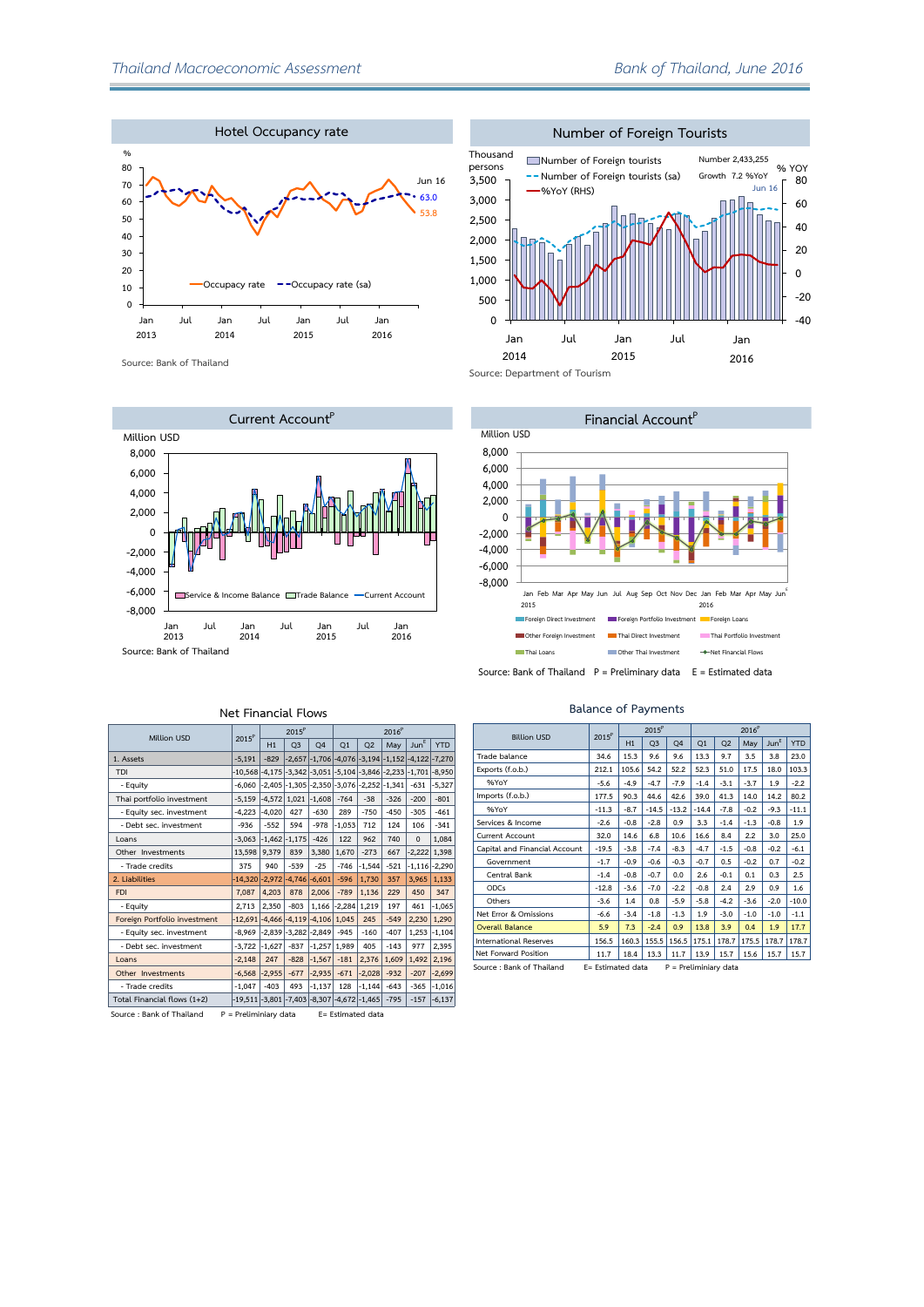

**Source: Bank of Thailand**



| Number of Foreign Tourists   |                               |                   |                                                               |     |                                                      |       |       |  |  |  |  |  |  |
|------------------------------|-------------------------------|-------------------|---------------------------------------------------------------|-----|------------------------------------------------------|-------|-------|--|--|--|--|--|--|
| Thousand<br>persons<br>3,500 |                               | <b>%YoY (RHS)</b> | Number of Foreign tourists<br>Number of Foreign tourists (sa) |     | Number 2,433,255<br>Growth 7.2 %YoY<br><b>Jun 16</b> | % YOY | 80    |  |  |  |  |  |  |
| 3,000                        |                               |                   |                                                               |     |                                                      |       | 60    |  |  |  |  |  |  |
| 2,500                        |                               |                   |                                                               |     |                                                      |       | 40    |  |  |  |  |  |  |
| 2,000                        |                               |                   |                                                               |     |                                                      |       |       |  |  |  |  |  |  |
| 1,500                        |                               |                   |                                                               |     |                                                      |       | 20    |  |  |  |  |  |  |
|                              |                               |                   |                                                               |     |                                                      |       | 0     |  |  |  |  |  |  |
| 1,000                        |                               |                   |                                                               |     |                                                      |       |       |  |  |  |  |  |  |
| 500                          |                               |                   |                                                               |     |                                                      |       | $-20$ |  |  |  |  |  |  |
| 0                            |                               |                   |                                                               |     |                                                      |       | $-40$ |  |  |  |  |  |  |
|                              | Jan                           | Jul               | Jan                                                           | Jul | Jan                                                  |       |       |  |  |  |  |  |  |
|                              | 2014                          |                   | 2015                                                          |     | 2016                                                 |       |       |  |  |  |  |  |  |
|                              | Source: Department of Tourism |                   |                                                               |     |                                                      |       |       |  |  |  |  |  |  |



**Balance of Payments**

| <b>Billion USD</b>            | 2015 <sup>P</sup> |        | $2015^P$       |                | 2016 <sup>P</sup> |                |        |                  |            |
|-------------------------------|-------------------|--------|----------------|----------------|-------------------|----------------|--------|------------------|------------|
|                               |                   | H1     | Q <sub>3</sub> | O <sub>4</sub> | Q1                | O <sub>2</sub> | May    | Jun <sup>E</sup> | <b>YTD</b> |
| Trade balance                 | 34.6              | 15.3   | 9.6            | 9.6            | 13.3              | 9.7            | 3.5    | 3.8              | 23.0       |
| Exports (f.o.b.)              | 212.1             | 105.6  | 54.2           | 52.2           | 52.3              | 51.0           | 17.5   | 18.0             | 103.3      |
| %YoY                          | $-5.6$            | $-4.9$ | $-4.7$         | $-7.9$         | $-1.4$            | $-3.1$         | $-3.7$ | 1.9              | $-2.2$     |
| Imports (f.o.b.)              | 177.5             | 90.3   | 44.6           | 42.6           | 39.0              | 41.3           | 14.0   | 14.2             | 80.2       |
| %YoY                          | $-11.3$           | $-8.7$ | $-14.5$        | $-13.2$        | $-14.4$           | $-7.8$         | $-0.2$ | $-9.3$           | $-11.1$    |
| Services & Income             | $-2.6$            | $-0.8$ | $-2.8$         | 0.9            | 3.3               | $-1.4$         | $-1.3$ | $-0.8$           | 1.9        |
| <b>Current Account</b>        | 32.0              | 14.6   | 6.8            | 10.6           | 16.6              | 8.4            | 2.2    | 3.0              | 25.0       |
| Capital and Financial Account | $-19.5$           | $-3.8$ | $-7.4$         | $-8.3$         | $-4.7$            | $-1.5$         | $-0.8$ | $-0.2$           | $-6.1$     |
| Government                    | $-1.7$            | $-0.9$ | $-0.6$         | $-0.3$         | $-0.7$            | 0.5            | $-0.2$ | 0.7              | $-0.2$     |
| Central Bank                  | $-1.4$            | $-0.8$ | $-0.7$         | 0.0            | 2.6               | $-0.1$         | 0.1    | 0.3              | 2.5        |
| ODCs                          | $-12.8$           | $-3.6$ | $-7.0$         | $-2.2$         | $-0.8$            | 2.4            | 2.9    | 0.9              | 1.6        |
| Others                        | $-3.6$            | 1.4    | 0.8            | $-5.9$         | $-5.8$            | $-4.2$         | $-3.6$ | $-2.0$           | $-10.0$    |
| Net Error & Omissions         | $-6.6$            | $-3.4$ | $-1.8$         | $-1.3$         | 1.9               | $-3.0$         | $-1.0$ | $-1.0$           | $-1.1$     |
| <b>Overall Balance</b>        | 5.9               | 7.3    | $-2.4$         | 0.9            | 13.8              | 3.9            | 0.4    | 1.9              | 17.7       |
| International Reserves        | 156.5             | 160.3  | 155.5          | 156.5          | 175.1             | 178.7          | 175.5  | 178.7            | 178.7      |
| Net Forward Position          | 11.7              | 18.4   | 13.3           | 11.7           | 13.9              | 15.7           | 15.6   | 15.7             | 15.7       |

#### **Net Financial Flows**

**2015<sup>P</sup> 2016<sup>P</sup>**

**Million USD 2015<sup>P</sup>**

| MIWON USD                    | ZU 151                                                          | H1       | O <sub>3</sub> | O <sub>4</sub>                                                 | O <sub>1</sub> | Q <sub>2</sub>    | May    | Jun <sup>E</sup> | <b>YTD</b>        |
|------------------------------|-----------------------------------------------------------------|----------|----------------|----------------------------------------------------------------|----------------|-------------------|--------|------------------|-------------------|
| 1. Assets                    | $-5.191$                                                        | $-829$   |                | $-2,657$ $-1,706$ $-4,076$ $-3,194$ $-1,152$ $-4,122$ $-7,270$ |                |                   |        |                  |                   |
| <b>TDI</b>                   | -10,568 -4,175 -3,342 -3,051 -5,104 -3,846 -2,233 -1,701 -8,950 |          |                |                                                                |                |                   |        |                  |                   |
| - Equity                     | $-6.060$                                                        | $-2.405$ |                | $-1,305$ $-2,350$ $-3,076$ $-2,252$ $-1,341$                   |                |                   |        | $-631$           | $-5,327$          |
| Thai portfolio investment    | $-5.159$                                                        | $-4.572$ | 1.021          | $-1.608$                                                       | $-764$         | $-38$             | $-326$ | $-200$           | $-801$            |
| - Equity sec. investment     | $-4.223$                                                        | $-4,020$ | 427            | $-630$                                                         | 289            | $-750$            | $-450$ | $-305$           | $-461$            |
| - Debt sec. investment       | $-936$                                                          | $-552$   | 594            | $-978$                                                         | $-1.053$       | 712               | 124    | 106              | $-341$            |
| Loans                        | $-3.063$                                                        | $-1.462$ | $-1.175$       | $-426$                                                         | 122            | 962               | 740    | $\mathbf 0$      | 1,084             |
| Other Investments            | 13,598                                                          | 9.379    | 839            | 3,380                                                          | 1,670          | $-273$            | 667    | $-2,222$         | 1,398             |
| - Trade credits              | 375                                                             | 940      | $-539$         | $-25$                                                          | $-746$         | $-1.544$          | $-521$ |                  | $-1,116$ $-2,290$ |
| 2. Liabilities               | $-14.320$                                                       | $-2,972$ | $-4.746$       | $-6,601$                                                       | $-596$         | 1,730             | 357    | 3.965            | 1,133             |
| <b>FDI</b>                   | 7.087                                                           | 4.203    | 878            | 2.006                                                          | $-789$         | 1,136             | 229    | 450              | 347               |
| - Equity                     | 2.713                                                           | 2.350    | $-803$         | 1.166                                                          | $-2,284$       | 1,219             | 197    | 461              | $-1,065$          |
| Foreign Portfolio investment | $-12.691$                                                       | $-4.466$ |                | $-4.119$ $-4.106$                                              | 1.045          | 245               | $-549$ | 2,230            | 1,290             |
| - Equity sec. investment     | $-8.969$                                                        |          |                | $-2.839$ $-3.282$ $-2.849$                                     | $-945$         | $-160$            | $-407$ | 1.253            | $-1,104$          |
| - Debt sec. investment       | $-3,722$                                                        | $-1,627$ | $-837$         | $-1,257$                                                       | 1,989          | 405               | $-143$ | 977              | 2,395             |
| Loans                        | $-2.148$                                                        | 247      | $-828$         | $-1,567$                                                       | $-181$         | 2.376             | 1.609  | 1,492            | 2,196             |
| Other Investments            | $-6.568$                                                        | $-2,955$ | $-677$         | $-2,935$                                                       | $-671$         | $-2,028$          | $-932$ | $-207$           | $-2,699$          |
| - Trade credits              | $-1.047$                                                        | $-403$   | 493            | $-1,137$                                                       | 128            | $-1.144$          | $-643$ | $-365$           | $-1,016$          |
| Total Financial flows (1+2)  | $-19,511$ $-3,801$ $-7,403$ $-8,307$ $-4,672$ $-1,465$          |          |                |                                                                |                |                   | $-795$ | $-157$           | $-6,137$          |
| Source: Bank of Thailand     | $P = Preliminiary data$                                         |          |                |                                                                |                | E= Estimated data |        |                  |                   |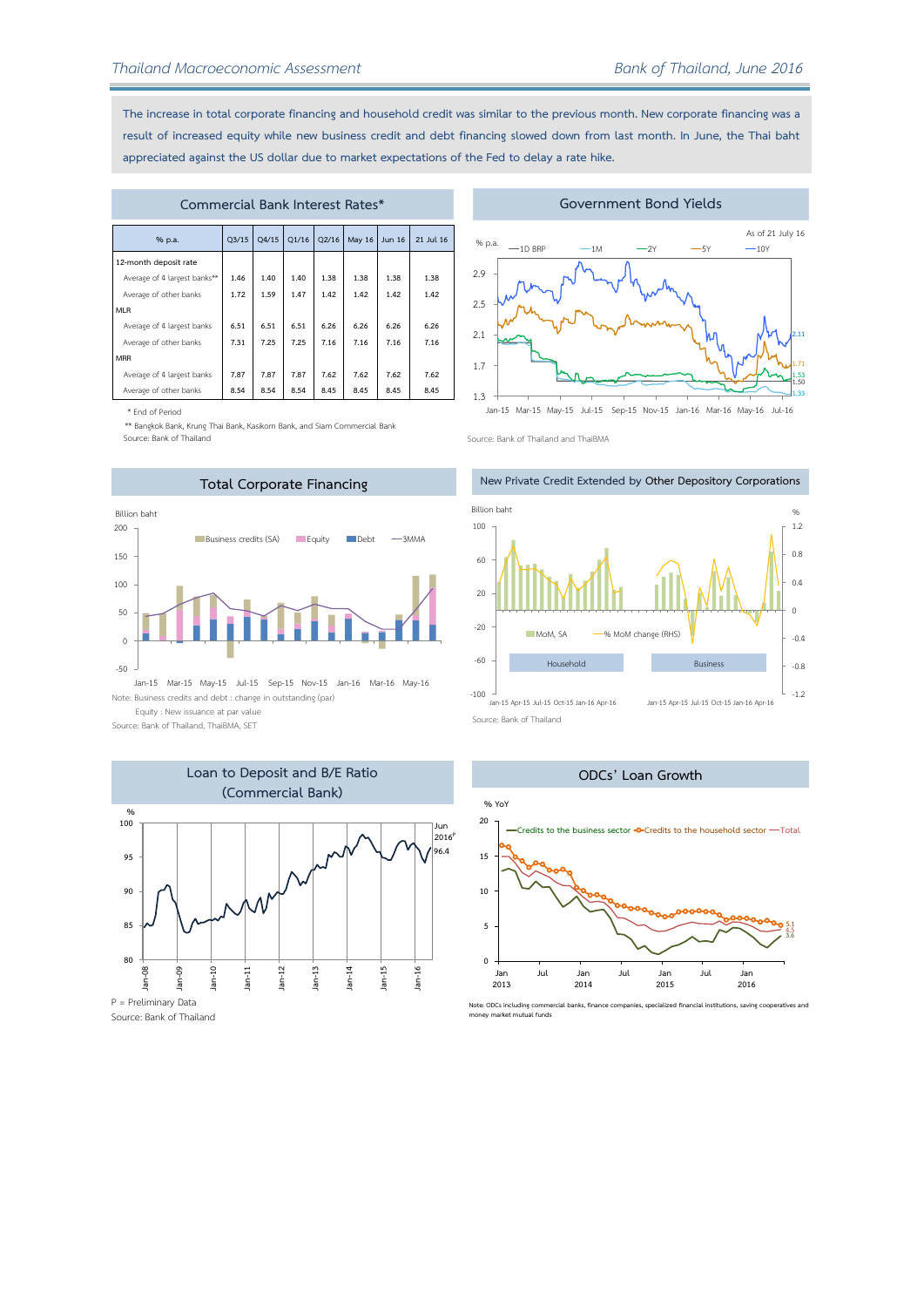**The increase in total corporate financing and household credit was similar to the previous month. New corporate financing was a result of increased equity while new business credit and debt financing slowed down from last month. In June, the Thai baht appreciated against the US dollar due to market expectations of the Fed to delay a rate hike.**

| Commercial Bank Interest Rates* |                                                                   |      |      |      |      |      |      |  |  |  |  |  |  |
|---------------------------------|-------------------------------------------------------------------|------|------|------|------|------|------|--|--|--|--|--|--|
| % p.a.                          | Q1/16<br>O2/16<br>May 16<br>21 Jul 16<br>Q3/15<br>Q4/15<br>Jun 16 |      |      |      |      |      |      |  |  |  |  |  |  |
| 12-month deposit rate           |                                                                   |      |      |      |      |      |      |  |  |  |  |  |  |
| Average of 4 largest banks**    | 1.46                                                              | 1.40 | 1.40 | 1.38 | 1.38 | 1.38 | 1.38 |  |  |  |  |  |  |
| Average of other banks          | 1.72                                                              | 1.59 | 1.47 | 1.42 | 1.42 | 1.42 | 1.42 |  |  |  |  |  |  |
| <b>MLR</b>                      |                                                                   |      |      |      |      |      |      |  |  |  |  |  |  |
| Average of 4 largest banks      | 6.51                                                              | 6.51 | 6.51 | 6.26 | 6.26 | 6.26 | 6.26 |  |  |  |  |  |  |
| Average of other banks          | 7.31                                                              | 7.25 | 7.25 | 7.16 | 7.16 | 7.16 | 7.16 |  |  |  |  |  |  |
| <b>MRR</b>                      |                                                                   |      |      |      |      |      |      |  |  |  |  |  |  |
| Average of 4 largest banks      | 7.87                                                              | 7.87 | 7.87 | 7.62 | 7.62 | 7.62 | 7.62 |  |  |  |  |  |  |
| Average of other banks          | 8.54                                                              | 8.54 | 8.54 | 8.45 | 8.45 | 8.45 | 8.45 |  |  |  |  |  |  |

\* End of Period

\*\* Bangkok Bank, Krung Thai Bank, Kasikorn Bank, and Siam Commercial Bank

Source: Bank of Thailand



Note: Business credits and debt : change in outstanding (par) Equity : New issuance at par value Jan-15 Mar-15 May-15 Jul-15 Sep-15 Nov-15 Jan-16 Mar-16 May-16

Source: Bank of Thailand, ThaiBMA, SET



Source: Bank of Thailand

### **Government Bond Yields**



Jan-15 Mar-15 May-15 Jul-15 Sep-15 Nov-15 Jan-16 Mar-16 May-16 Jul-16

Source: Bank of Thailand and ThaiBMA





**Note: ODCs including commercial banks, finance companies, specialized financial institutions, saving cooperatives and money market mutual funds**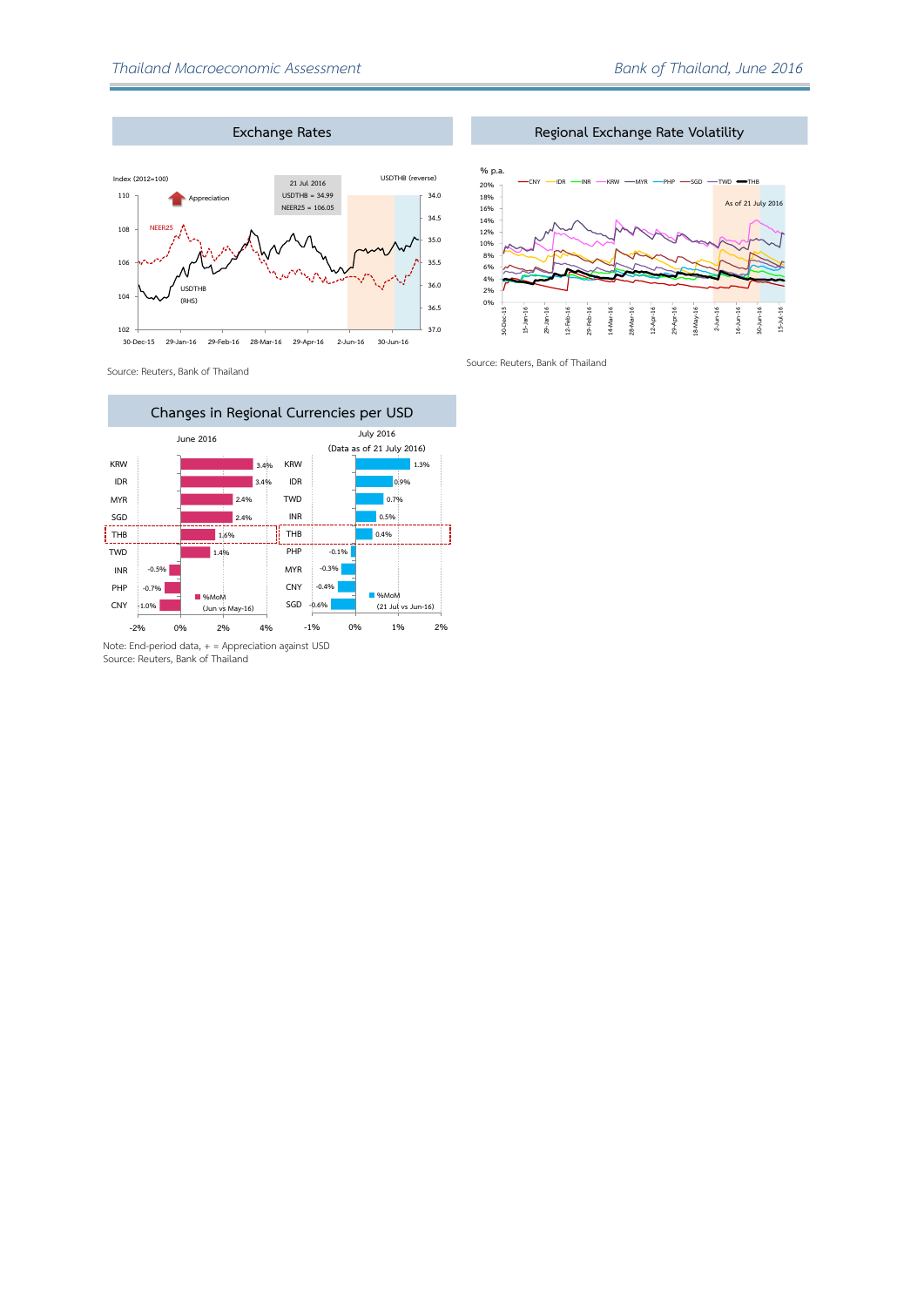

Source: Reuters, Bank of Thailand



Source: Reuters, Bank of Thailand

**Regional Exchange Rate Volatility**



Source: Reuters, Bank of Thailand